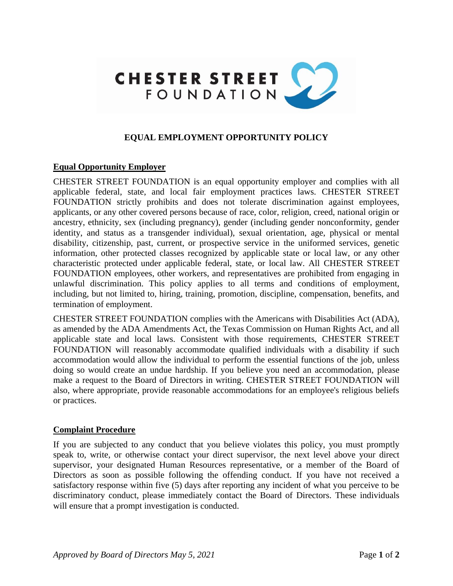

# **EQUAL EMPLOYMENT OPPORTUNITY POLICY**

## **Equal Opportunity Employer**

CHESTER STREET FOUNDATION is an equal opportunity employer and complies with all applicable federal, state, and local fair employment practices laws. CHESTER STREET FOUNDATION strictly prohibits and does not tolerate discrimination against employees, applicants, or any other covered persons because of race, color, religion, creed, national origin or ancestry, ethnicity, sex (including pregnancy), gender (including gender nonconformity, gender identity, and status as a transgender individual), sexual orientation, age, physical or mental disability, citizenship, past, current, or prospective service in the uniformed services, genetic information, other protected classes recognized by applicable state or local law, or any other characteristic protected under applicable federal, state, or local law. All CHESTER STREET FOUNDATION employees, other workers, and representatives are prohibited from engaging in unlawful discrimination. This policy applies to all terms and conditions of employment, including, but not limited to, hiring, training, promotion, discipline, compensation, benefits, and termination of employment.

CHESTER STREET FOUNDATION complies with the Americans with Disabilities Act (ADA), as amended by the ADA Amendments Act, the Texas Commission on Human Rights Act, and all applicable state and local laws. Consistent with those requirements, CHESTER STREET FOUNDATION will reasonably accommodate qualified individuals with a disability if such accommodation would allow the individual to perform the essential functions of the job, unless doing so would create an undue hardship. If you believe you need an accommodation, please make a request to the Board of Directors in writing. CHESTER STREET FOUNDATION will also, where appropriate, provide reasonable accommodations for an employee's religious beliefs or practices.

### **Complaint Procedure**

If you are subjected to any conduct that you believe violates this policy, you must promptly speak to, write, or otherwise contact your direct supervisor, the next level above your direct supervisor, your designated Human Resources representative, or a member of the Board of Directors as soon as possible following the offending conduct. If you have not received a satisfactory response within five (5) days after reporting any incident of what you perceive to be discriminatory conduct, please immediately contact the Board of Directors. These individuals will ensure that a prompt investigation is conducted.